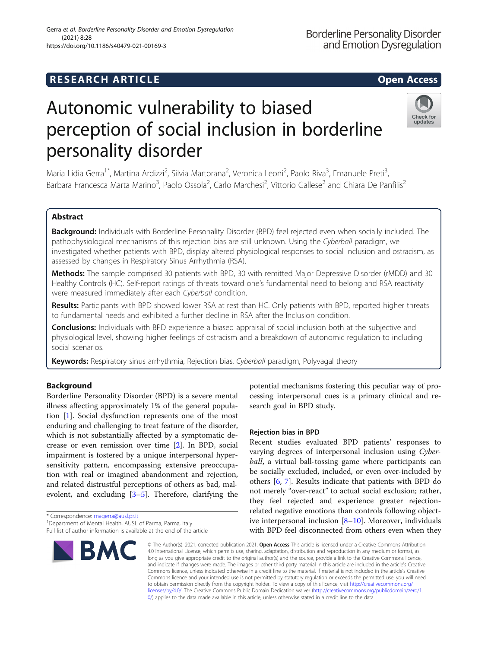## **RESEARCH ARTICLE Example 2014 12:30 The SEAR CH ACCESS**

# Autonomic vulnerability to biased perception of social inclusion in borderline personality disorder



Maria Lidia Gerra<sup>1\*</sup>, Martina Ardizzi<sup>2</sup>, Silvia Martorana<sup>2</sup>, Veronica Leoni<sup>2</sup>, Paolo Riva<sup>3</sup>, Emanuele Preti<sup>3</sup> , Barbara Francesca Marta Marino<sup>3</sup>, Paolo Ossola<sup>2</sup>, Carlo Marchesi<sup>2</sup>, Vittorio Gallese<sup>2</sup> and Chiara De Panfilis<sup>2</sup>

### Abstract

Background: Individuals with Borderline Personality Disorder (BPD) feel rejected even when socially included. The pathophysiological mechanisms of this rejection bias are still unknown. Using the Cyberball paradigm, we investigated whether patients with BPD, display altered physiological responses to social inclusion and ostracism, as assessed by changes in Respiratory Sinus Arrhythmia (RSA).

Methods: The sample comprised 30 patients with BPD, 30 with remitted Major Depressive Disorder (rMDD) and 30 Healthy Controls (HC). Self-report ratings of threats toward one's fundamental need to belong and RSA reactivity were measured immediately after each Cyberball condition.

Results: Participants with BPD showed lower RSA at rest than HC. Only patients with BPD, reported higher threats to fundamental needs and exhibited a further decline in RSA after the Inclusion condition.

**Conclusions:** Individuals with BPD experience a biased appraisal of social inclusion both at the subjective and physiological level, showing higher feelings of ostracism and a breakdown of autonomic regulation to including social scenarios.

Keywords: Respiratory sinus arrhythmia, Rejection bias, Cyberball paradigm, Polyvagal theory

#### Background

Borderline Personality Disorder (BPD) is a severe mental illness affecting approximately 1% of the general population [\[1](#page-11-0)]. Social dysfunction represents one of the most enduring and challenging to treat feature of the disorder, which is not substantially affected by a symptomatic decrease or even remission over time [[2\]](#page-11-0). In BPD, social impairment is fostered by a unique interpersonal hypersensitivity pattern, encompassing extensive preoccupation with real or imagined abandonment and rejection, and related distrustful perceptions of others as bad, malevolent, and excluding [\[3](#page-11-0)–[5\]](#page-11-0). Therefore, clarifying the

<sup>&</sup>lt;sup>1</sup>Department of Mental Health, AUSL of Parma, Parma, Italy Full list of author information is available at the end of the article



potential mechanisms fostering this peculiar way of processing interpersonal cues is a primary clinical and research goal in BPD study.

#### Rejection bias in BPD

Recent studies evaluated BPD patients' responses to varying degrees of interpersonal inclusion using Cyberball, a virtual ball-tossing game where participants can be socially excluded, included, or even over-included by others [[6,](#page-11-0) [7](#page-11-0)]. Results indicate that patients with BPD do not merely "over-react" to actual social exclusion; rather, they feel rejected and experience greater rejectionrelated negative emotions than controls following objective interpersonal inclusion  $[8-10]$  $[8-10]$  $[8-10]$  $[8-10]$ . Moreover, individuals with BPD feel disconnected from others even when they

© The Author(s). 2021, corrected publication 2021. Open Access This article is licensed under a Creative Commons Attribution 4.0 International License, which permits use, sharing, adaptation, distribution and reproduction in any medium or format, as long as you give appropriate credit to the original author(s) and the source, provide a link to the Creative Commons licence, and indicate if changes were made. The images or other third party material in this article are included in the article's Creative Commons licence, unless indicated otherwise in a credit line to the material. If material is not included in the article's Creative Commons licence and your intended use is not permitted by statutory regulation or exceeds the permitted use, you will need to obtain permission directly from the copyright holder. To view a copy of this licence, visit [http://creativecommons.org/](http://creativecommons.org/licenses/by/4.0/) [licenses/by/4.0/.](http://creativecommons.org/licenses/by/4.0/) The Creative Commons Public Domain Dedication waiver ([http://creativecommons.org/publicdomain/zero/1.](http://creativecommons.org/publicdomain/zero/1.0/) [0/\)](http://creativecommons.org/publicdomain/zero/1.0/) applies to the data made available in this article, unless otherwise stated in a credit line to the data.

<sup>\*</sup> Correspondence: [magerra@ausl.pr.it](mailto:magerra@ausl.pr.it) <sup>1</sup>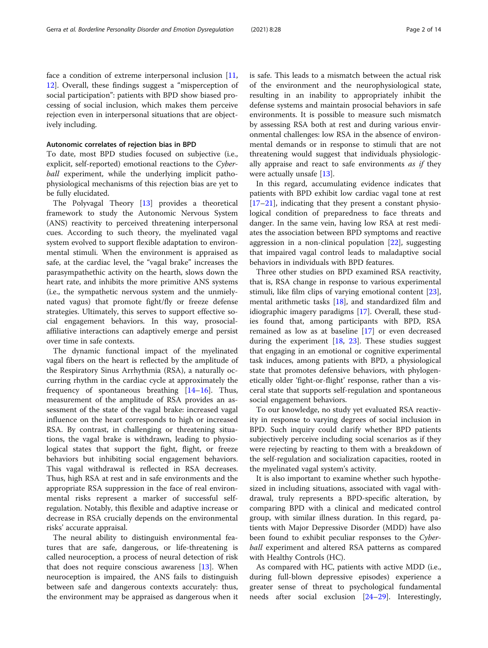face a condition of extreme interpersonal inclusion [[11](#page-11-0), [12\]](#page-11-0). Overall, these findings suggest a "misperception of social participation": patients with BPD show biased processing of social inclusion, which makes them perceive rejection even in interpersonal situations that are objectively including.

#### Autonomic correlates of rejection bias in BPD

To date, most BPD studies focused on subjective (i.e., explicit, self-reported) emotional reactions to the Cyberball experiment, while the underlying implicit pathophysiological mechanisms of this rejection bias are yet to be fully elucidated.

The Polyvagal Theory [[13](#page-11-0)] provides a theoretical framework to study the Autonomic Nervous System (ANS) reactivity to perceived threatening interpersonal cues. According to such theory, the myelinated vagal system evolved to support flexible adaptation to environmental stimuli. When the environment is appraised as safe, at the cardiac level, the "vagal brake" increases the parasympathethic activity on the hearth, slows down the heart rate, and inhibits the more primitive ANS systems (i.e., the sympathetic nervous system and the unmielynated vagus) that promote fight/fly or freeze defense strategies. Ultimately, this serves to support effective social engagement behaviors. In this way, prosocialaffiliative interactions can adaptively emerge and persist over time in safe contexts.

The dynamic functional impact of the myelinated vagal fibers on the heart is reflected by the amplitude of the Respiratory Sinus Arrhythmia (RSA), a naturally occurring rhythm in the cardiac cycle at approximately the frequency of spontaneous breathing [[14](#page-11-0)–[16](#page-11-0)]. Thus, measurement of the amplitude of RSA provides an assessment of the state of the vagal brake: increased vagal influence on the heart corresponds to high or increased RSA. By contrast, in challenging or threatening situations, the vagal brake is withdrawn, leading to physiological states that support the fight, flight, or freeze behaviors but inhibiting social engagement behaviors. This vagal withdrawal is reflected in RSA decreases. Thus, high RSA at rest and in safe environments and the appropriate RSA suppression in the face of real environmental risks represent a marker of successful selfregulation. Notably, this flexible and adaptive increase or decrease in RSA crucially depends on the environmental risks' accurate appraisal.

The neural ability to distinguish environmental features that are safe, dangerous, or life-threatening is called neuroception, a process of neural detection of risk that does not require conscious awareness [[13\]](#page-11-0). When neuroception is impaired, the ANS fails to distinguish between safe and dangerous contexts accurately: thus, the environment may be appraised as dangerous when it is safe. This leads to a mismatch between the actual risk of the environment and the neurophysiological state, resulting in an inability to appropriately inhibit the defense systems and maintain prosocial behaviors in safe environments. It is possible to measure such mismatch by assessing RSA both at rest and during various environmental challenges: low RSA in the absence of environmental demands or in response to stimuli that are not threatening would suggest that individuals physiologically appraise and react to safe environments *as if* they were actually unsafe [\[13](#page-11-0)].

In this regard, accumulating evidence indicates that patients with BPD exhibit low cardiac vagal tone at rest [[17](#page-11-0)–[21](#page-11-0)], indicating that they present a constant physiological condition of preparedness to face threats and danger. In the same vein, having low RSA at rest mediates the association between BPD symptoms and reactive aggression in a non-clinical population  $[22]$  $[22]$  $[22]$ , suggesting that impaired vagal control leads to maladaptive social behaviors in individuals with BPD features.

Three other studies on BPD examined RSA reactivity, that is, RSA change in response to various experimental stimuli, like film clips of varying emotional content [\[23](#page-11-0)], mental arithmetic tasks  $[18]$  $[18]$ , and standardized film and idiographic imagery paradigms [[17\]](#page-11-0). Overall, these studies found that, among participants with BPD, RSA remained as low as at baseline [[17](#page-11-0)] or even decreased during the experiment  $[18, 23]$  $[18, 23]$  $[18, 23]$  $[18, 23]$ . These studies suggest that engaging in an emotional or cognitive experimental task induces, among patients with BPD, a physiological state that promotes defensive behaviors, with phylogenetically older 'fight-or-flight' response, rather than a visceral state that supports self-regulation and spontaneous social engagement behaviors.

To our knowledge, no study yet evaluated RSA reactivity in response to varying degrees of social inclusion in BPD. Such inquiry could clarify whether BPD patients subjectively perceive including social scenarios as if they were rejecting by reacting to them with a breakdown of the self-regulation and socialization capacities, rooted in the myelinated vagal system's activity.

It is also important to examine whether such hypothesized in including situations, associated with vagal withdrawal, truly represents a BPD-specific alteration, by comparing BPD with a clinical and medicated control group, with similar illness duration. In this regard, patients with Major Depressive Disorder (MDD) have also been found to exhibit peculiar responses to the Cyberball experiment and altered RSA patterns as compared with Healthy Controls (HC).

As compared with HC, patients with active MDD (i.e., during full-blown depressive episodes) experience a greater sense of threat to psychological fundamental needs after social exclusion [[24](#page-11-0)–[29](#page-12-0)]. Interestingly,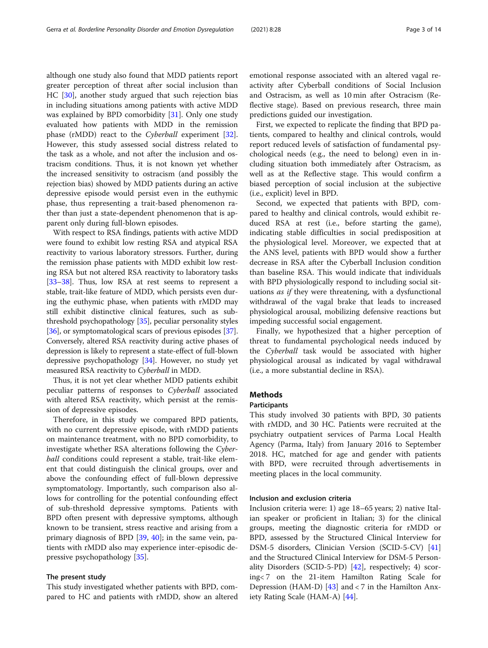although one study also found that MDD patients report greater perception of threat after social inclusion than HC [\[30](#page-12-0)], another study argued that such rejection bias in including situations among patients with active MDD was explained by BPD comorbidity [\[31](#page-12-0)]. Only one study evaluated how patients with MDD in the remission phase (rMDD) react to the Cyberball experiment [\[32](#page-12-0)]. However, this study assessed social distress related to the task as a whole, and not after the inclusion and ostracism conditions. Thus, it is not known yet whether the increased sensitivity to ostracism (and possibly the rejection bias) showed by MDD patients during an active depressive episode would persist even in the euthymic phase, thus representing a trait-based phenomenon rather than just a state-dependent phenomenon that is apparent only during full-blown episodes.

With respect to RSA findings, patients with active MDD were found to exhibit low resting RSA and atypical RSA reactivity to various laboratory stressors. Further, during the remission phase patients with MDD exhibit low resting RSA but not altered RSA reactivity to laboratory tasks [[33](#page-12-0)–[38\]](#page-12-0). Thus, low RSA at rest seems to represent a stable, trait-like feature of MDD, which persists even during the euthymic phase, when patients with rMDD may still exhibit distinctive clinical features, such as subthreshold psychopathology [\[35\]](#page-12-0), peculiar personality styles [[36](#page-12-0)], or symptomatological scars of previous episodes [[37](#page-12-0)]. Conversely, altered RSA reactivity during active phases of depression is likely to represent a state-effect of full-blown depressive psychopathology [[34](#page-12-0)]. However, no study yet measured RSA reactivity to Cyberball in MDD.

Thus, it is not yet clear whether MDD patients exhibit peculiar patterns of responses to Cyberball associated with altered RSA reactivity, which persist at the remission of depressive episodes.

Therefore, in this study we compared BPD patients, with no current depressive episode, with rMDD patients on maintenance treatment, with no BPD comorbidity, to investigate whether RSA alterations following the Cyberball conditions could represent a stable, trait-like element that could distinguish the clinical groups, over and above the confounding effect of full-blown depressive symptomatology. Importantly, such comparison also allows for controlling for the potential confounding effect of sub-threshold depressive symptoms. Patients with BPD often present with depressive symptoms, although known to be transient, stress reactive and arising from a primary diagnosis of BPD [\[39](#page-12-0), [40\]](#page-12-0); in the same vein, patients with rMDD also may experience inter-episodic depressive psychopathology [\[35](#page-12-0)].

#### The present study

This study investigated whether patients with BPD, compared to HC and patients with rMDD, show an altered

emotional response associated with an altered vagal reactivity after Cyberball conditions of Social Inclusion and Ostracism, as well as 10 min after Ostracism (Reflective stage). Based on previous research, three main predictions guided our investigation.

First, we expected to replicate the finding that BPD patients, compared to healthy and clinical controls, would report reduced levels of satisfaction of fundamental psychological needs (e.g., the need to belong) even in including situation both immediately after Ostracism, as well as at the Reflective stage. This would confirm a biased perception of social inclusion at the subjective (i.e., explicit) level in BPD.

Second, we expected that patients with BPD, compared to healthy and clinical controls, would exhibit reduced RSA at rest (i.e., before starting the game), indicating stable difficulties in social predisposition at the physiological level. Moreover, we expected that at the ANS level, patients with BPD would show a further decrease in RSA after the Cyberball Inclusion condition than baseline RSA. This would indicate that individuals with BPD physiologically respond to including social situations as if they were threatening, with a dysfunctional withdrawal of the vagal brake that leads to increased physiological arousal, mobilizing defensive reactions but impeding successful social engagement.

Finally, we hypothesized that a higher perception of threat to fundamental psychological needs induced by the Cyberball task would be associated with higher physiological arousal as indicated by vagal withdrawal (i.e., a more substantial decline in RSA).

#### Methods

#### Participants

This study involved 30 patients with BPD, 30 patients with rMDD, and 30 HC. Patients were recruited at the psychiatry outpatient services of Parma Local Health Agency (Parma, Italy) from January 2016 to September 2018. HC, matched for age and gender with patients with BPD, were recruited through advertisements in meeting places in the local community.

#### Inclusion and exclusion criteria

Inclusion criteria were: 1) age 18–65 years; 2) native Italian speaker or proficient in Italian; 3) for the clinical groups, meeting the diagnostic criteria for rMDD or BPD, assessed by the Structured Clinical Interview for DSM-5 disorders, Clinician Version (SCID-5-CV) [[41](#page-12-0)] and the Structured Clinical Interview for DSM-5 Personality Disorders (SCID-5-PD) [\[42](#page-12-0)], respectively; 4) scoring< 7 on the 21-item Hamilton Rating Scale for Depression (HAM-D)  $[43]$  $[43]$  and < 7 in the Hamilton Anxiety Rating Scale (HAM-A) [[44\]](#page-12-0).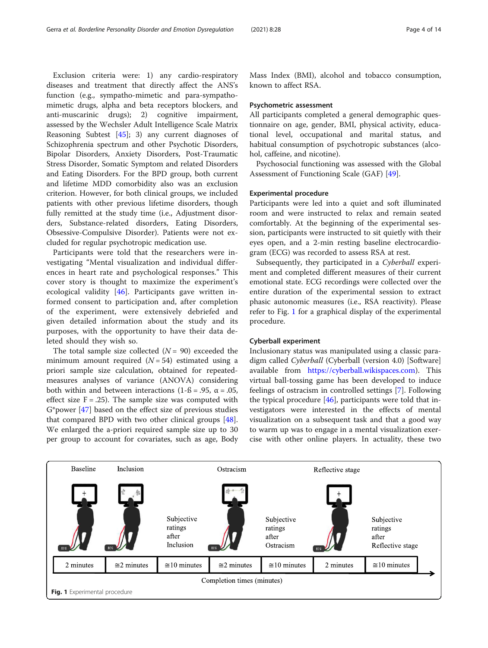Exclusion criteria were: 1) any cardio-respiratory diseases and treatment that directly affect the ANS's function (e.g., sympatho-mimetic and para-sympathomimetic drugs, alpha and beta receptors blockers, and anti-muscarinic drugs); 2) cognitive impairment, assessed by the Wechsler Adult Intelligence Scale Matrix Reasoning Subtest [\[45](#page-12-0)]; 3) any current diagnoses of Schizophrenia spectrum and other Psychotic Disorders, Bipolar Disorders, Anxiety Disorders, Post-Traumatic Stress Disorder, Somatic Symptom and related Disorders and Eating Disorders. For the BPD group, both current and lifetime MDD comorbidity also was an exclusion criterion. However, for both clinical groups, we included patients with other previous lifetime disorders, though fully remitted at the study time (i.e., Adjustment disorders, Substance-related disorders, Eating Disorders, Obsessive-Compulsive Disorder). Patients were not excluded for regular psychotropic medication use.

Participants were told that the researchers were investigating "Mental visualization and individual differences in heart rate and psychological responses." This cover story is thought to maximize the experiment's ecological validity [[46\]](#page-12-0). Participants gave written informed consent to participation and, after completion of the experiment, were extensively debriefed and given detailed information about the study and its purposes, with the opportunity to have their data deleted should they wish so.

The total sample size collected  $(N = 90)$  exceeded the minimum amount required  $(N = 54)$  estimated using a priori sample size calculation, obtained for repeatedmeasures analyses of variance (ANOVA) considering both within and between interactions (1- $\beta$  = .95,  $\alpha$  = .05, effect size  $F = .25$ ). The sample size was computed with G\*power [[47\]](#page-12-0) based on the effect size of previous studies that compared BPD with two other clinical groups [\[48](#page-12-0)]. We enlarged the a-priori required sample size up to 30 per group to account for covariates, such as age, Body Mass Index (BMI), alcohol and tobacco consumption, known to affect RSA.

#### Psychometric assessment

All participants completed a general demographic questionnaire on age, gender, BMI, physical activity, educational level, occupational and marital status, and habitual consumption of psychotropic substances (alcohol, caffeine, and nicotine).

Psychosocial functioning was assessed with the Global Assessment of Functioning Scale (GAF) [[49\]](#page-12-0).

#### Experimental procedure

Participants were led into a quiet and soft illuminated room and were instructed to relax and remain seated comfortably. At the beginning of the experimental session, participants were instructed to sit quietly with their eyes open, and a 2-min resting baseline electrocardiogram (ECG) was recorded to assess RSA at rest.

Subsequently, they participated in a Cyberball experiment and completed different measures of their current emotional state. ECG recordings were collected over the entire duration of the experimental session to extract phasic autonomic measures (i.e., RSA reactivity). Please refer to Fig. 1 for a graphical display of the experimental procedure.

#### Cyberball experiment

Inclusionary status was manipulated using a classic paradigm called Cyberball (Cyberball (version 4.0) [Software] available from <https://cyberball.wikispaces.com>). This virtual ball-tossing game has been developed to induce feelings of ostracism in controlled settings [\[7](#page-11-0)]. Following the typical procedure  $[46]$  $[46]$ , participants were told that investigators were interested in the effects of mental visualization on a subsequent task and that a good way to warm up was to engage in a mental visualization exercise with other online players. In actuality, these two

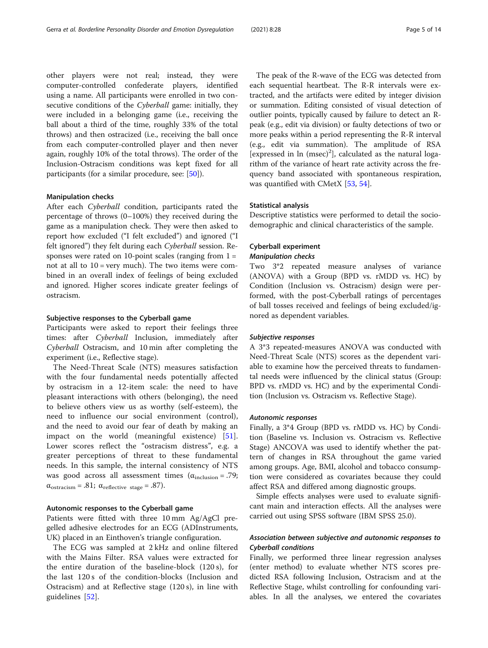other players were not real; instead, they were computer-controlled confederate players, identified using a name. All participants were enrolled in two consecutive conditions of the Cyberball game: initially, they were included in a belonging game (i.e., receiving the ball about a third of the time, roughly 33% of the total throws) and then ostracized (i.e., receiving the ball once from each computer-controlled player and then never again, roughly 10% of the total throws). The order of the Inclusion-Ostracism conditions was kept fixed for all participants (for a similar procedure, see: [[50](#page-12-0)]).

#### Manipulation checks

After each Cyberball condition, participants rated the percentage of throws (0–100%) they received during the game as a manipulation check. They were then asked to report how excluded ("I felt excluded") and ignored ("I felt ignored") they felt during each Cyberball session. Responses were rated on 10-point scales (ranging from  $1 =$ not at all to  $10 = \text{very much}$ . The two items were combined in an overall index of feelings of being excluded and ignored. Higher scores indicate greater feelings of ostracism.

#### Subjective responses to the Cyberball game

Participants were asked to report their feelings three times: after Cyberball Inclusion, immediately after Cyberball Ostracism, and 10 min after completing the experiment (i.e., Reflective stage).

The Need-Threat Scale (NTS) measures satisfaction with the four fundamental needs potentially affected by ostracism in a 12-item scale: the need to have pleasant interactions with others (belonging), the need to believe others view us as worthy (self-esteem), the need to influence our social environment (control), and the need to avoid our fear of death by making an impact on the world (meaningful existence) [\[51](#page-12-0)]. Lower scores reflect the "ostracism distress", e.g. a greater perceptions of threat to these fundamental needs. In this sample, the internal consistency of NTS was good across all assessment times  $(\alpha_{\text{inclusion}} = .79)$ ;  $\alpha_{\text{ostracism}} = .81; \ \alpha_{\text{reflective stage}} = .87).$ 

#### Autonomic responses to the Cyberball game

Patients were fitted with three 10 mm Ag/AgCl pregelled adhesive electrodes for an ECG (ADInstruments, UK) placed in an Einthoven's triangle configuration.

The ECG was sampled at 2 kHz and online filtered with the Mains Filter. RSA values were extracted for the entire duration of the baseline-block (120 s), for the last 120 s of the condition-blocks (Inclusion and Ostracism) and at Reflective stage (120 s), in line with guidelines [[52\]](#page-12-0).

The peak of the R-wave of the ECG was detected from each sequential heartbeat. The R-R intervals were extracted, and the artifacts were edited by integer division or summation. Editing consisted of visual detection of outlier points, typically caused by failure to detect an Rpeak (e.g., edit via division) or faulty detections of two or more peaks within a period representing the R-R interval (e.g., edit via summation). The amplitude of RSA [ $expressed in ln (msec)<sup>2</sup>$ ], calculated as the natural logarithm of the variance of heart rate activity across the frequency band associated with spontaneous respiration, was quantified with CMetX [[53,](#page-12-0) [54](#page-12-0)].

#### Statistical analysis

Descriptive statistics were performed to detail the sociodemographic and clinical characteristics of the sample.

#### Cyberball experiment Manipulation checks

Two 3\*2 repeated measure analyses of variance (ANOVA) with a Group (BPD vs. rMDD vs. HC) by Condition (Inclusion vs. Ostracism) design were performed, with the post-Cyberball ratings of percentages of ball tosses received and feelings of being excluded/ignored as dependent variables.

#### Subjective responses

A 3\*3 repeated-measures ANOVA was conducted with Need-Threat Scale (NTS) scores as the dependent variable to examine how the perceived threats to fundamental needs were influenced by the clinical status (Group: BPD vs. rMDD vs. HC) and by the experimental Condition (Inclusion vs. Ostracism vs. Reflective Stage).

#### Autonomic responses

Finally, a 3\*4 Group (BPD vs. rMDD vs. HC) by Condition (Baseline vs. Inclusion vs. Ostracism vs. Reflective Stage) ANCOVA was used to identify whether the pattern of changes in RSA throughout the game varied among groups. Age, BMI, alcohol and tobacco consumption were considered as covariates because they could affect RSA and differed among diagnostic groups.

Simple effects analyses were used to evaluate significant main and interaction effects. All the analyses were carried out using SPSS software (IBM SPSS 25.0).

#### Association between subjective and autonomic responses to Cyberball conditions

Finally, we performed three linear regression analyses (enter method) to evaluate whether NTS scores predicted RSA following Inclusion, Ostracism and at the Reflective Stage, whilst controlling for confounding variables. In all the analyses, we entered the covariates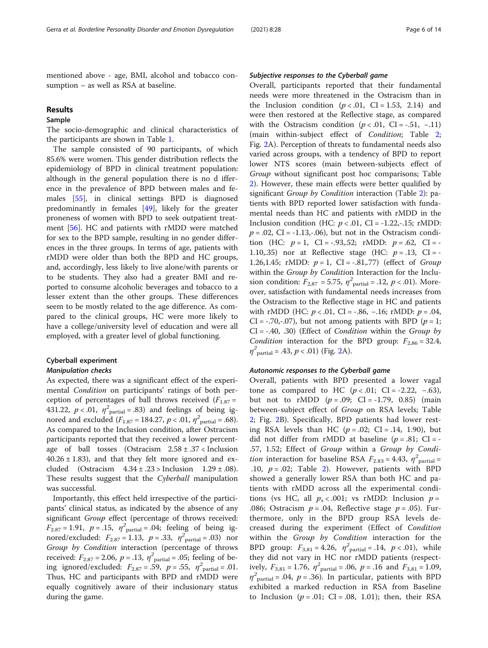mentioned above - age, BMI, alcohol and tobacco consumption – as well as RSA at baseline.

#### Results

#### Sample

The socio-demographic and clinical characteristics of the participants are shown in Table [1](#page-6-0).

The sample consisted of 90 participants, of which 85.6% were women. This gender distribution reflects the epidemiology of BPD in clinical treatment population: although in the general population there is no d ifference in the prevalence of BPD between males and females [[55](#page-12-0)], in clinical settings BPD is diagnosed predominantly in females [[49](#page-12-0)], likely for the greater proneness of women with BPD to seek outpatient treatment [\[56](#page-12-0)]. HC and patients with rMDD were matched for sex to the BPD sample, resulting in no gender differences in the three groups. In terms of age, patients with rMDD were older than both the BPD and HC groups, and, accordingly, less likely to live alone/with parents or to be students. They also had a greater BMI and reported to consume alcoholic beverages and tobacco to a lesser extent than the other groups. These differences seem to be mostly related to the age difference. As compared to the clinical groups, HC were more likely to have a college/university level of education and were all employed, with a greater level of global functioning.

#### Cyberball experiment

#### Manipulation checks

As expected, there was a significant effect of the experimental Condition on participants' ratings of both perception of percentages of ball throws received  $(F_{1.87} =$ 431.22,  $p < .01$ ,  $\eta^2$  partial = .83) and feelings of being ignored and excluded  $(F_{1.87} = 184.27, p < .01, \eta^2_{\text{partial}} = .68)$ . As compared to the Inclusion condition, after Ostracism participants reported that they received a lower percentage of ball tosses (Ostracism  $2.58 \pm .37$  < Inclusion  $40.26 \pm 1.83$ ), and that they felt more ignored and excluded (Ostracism  $4.34 \pm .23$  > Inclusion  $1.29 \pm .08$ ). These results suggest that the Cyberball manipulation was successful.

Importantly, this effect held irrespective of the participants' clinical status, as indicated by the absence of any significant Group effect (percentage of throws received:  $F_{2.87} = 1.91$ ,  $p = .15$ ,  $\eta^2$ <sub>partial</sub> = .04; feeling of being ignored/excluded:  $F_{2.87} = 1.13$ ,  $p = .33$ ,  $\eta^{2}_{\text{partial}} = .03$ ) nor Group by Condition interaction (percentage of throws received:  $F_{2.87} = 2.06$ ,  $p = .13$ ,  $\eta^2$ <sub>partial</sub> = .05; feeling of being ignored/excluded:  $F_{2.87} = .59$ ,  $p = .55$ ,  $\eta^2$ <sub>partial</sub> = .01. Thus, HC and participants with BPD and rMDD were equally cognitively aware of their inclusionary status during the game.

#### Subjective responses to the Cyberball game

Overall, participants reported that their fundamental needs were more threatened in the Ostracism than in the Inclusion condition  $(p < .01, \text{ CI} = 1.53, 2.14)$  and were then restored at the Reflective stage, as compared with the Ostracism condition  $(p < .01, \text{ CI} = -.51, -.11)$ (main within-subject effect of Condition; Table [2](#page-7-0); Fig. [2](#page-7-0)A). Perception of threats to fundamental needs also varied across groups, with a tendency of BPD to report lower NTS scores (main between-subjects effect of Group without significant post hoc comparisons; Table [2\)](#page-7-0). However, these main effects were better qualified by significant Group by Condition interaction (Table [2\)](#page-7-0): patients with BPD reported lower satisfaction with fundamental needs than HC and patients with rMDD in the Inclusion condition (HC:  $p < .01$ , CI = -1.22,-.15; rMDD:  $p = .02$ , CI = -1.13,-.06), but not in the Ostracism condition (HC:  $p = 1$ , CI = -.93,.52; rMDD:  $p = .62$ , CI = -1.10,.35) nor at Reflective stage (HC:  $p = .13$ , CI = -1.26,1.45; rMDD:  $p = 1$ , CI = -.81,.77) (effect of Group within the Group by Condition Interaction for the Inclusion condition:  $F_{2,87} = 5.75$ ,  $\eta^2$ <sub>partial</sub> = .12,  $p < .01$ ). Moreover, satisfaction with fundamental needs increases from the Ostracism to the Reflective stage in HC and patients with rMDD (HC:  $p < .01$ , CI = -.86, -.16; rMDD:  $p = .04$ ,  $CI = -.70, -.07$ , but not among patients with BPD ( $p = 1$ ;  $CI = -.40, .30$ ) (Effect of *Condition* within the *Group by* Condition interaction for the BPD group:  $F_{2,86} = 32.4$ ,  $\eta^2$ <sub>partial</sub> = .43,  $p < .01$ ) (Fig. [2A](#page-7-0)).

#### Autonomic responses to the Cyberball game

Overall, patients with BPD presented a lower vagal tone as compared to HC  $(p < .01;$  CI = -2.22, -.63), but not to rMDD  $(p=.09; \text{CI}=-1.79, 0.85)$  (main between-subject effect of Group on RSA levels; Table [2;](#page-7-0) Fig. [2](#page-7-0)B). Specifically, BPD patients had lower resting RSA levels than HC  $(p=.02;$  CI = .14, 1.90), but did not differ from rMDD at baseline  $(p=.81;$  CI = -.57, 1.52; Effect of Group within a Group by Condi*tion* interaction for baseline RSA  $F_{2.83} = 4.43$ ,  $\eta^2$ <sub>partial</sub> .10,  $p = .02$  $p = .02$ ; Table 2). However, patients with BPD showed a generally lower RSA than both HC and patients with rMDD across all the experimental conditions (vs HC, all  $p_s < .001$ ; vs rMDD: Inclusion  $p =$ .086; Ostracism  $p = .04$ , Reflective stage  $p = .05$ ). Furthermore, only in the BPD group RSA levels decreased during the experiment (Effect of Condition within the Group by Condition interaction for the BPD group:  $F_{3,81} = 4.26$ ,  $\eta^2$ <sub>partial</sub> = .14,  $p < .01$ ), while they did not vary in HC nor rMDD patients (respectively,  $F_{3,81} = 1.76$ ,  $\eta^2$ <sub>partial</sub> = .06,  $p = .16$  and  $F_{3,81} = 1.09$ ,  $\eta^2$ <sub>partial</sub> = .04, p = .36). In particular, patients with BPD exhibited a marked reduction in RSA from Baseline to Inclusion ( $p = .01$ ; CI = .08, 1.01); then, their RSA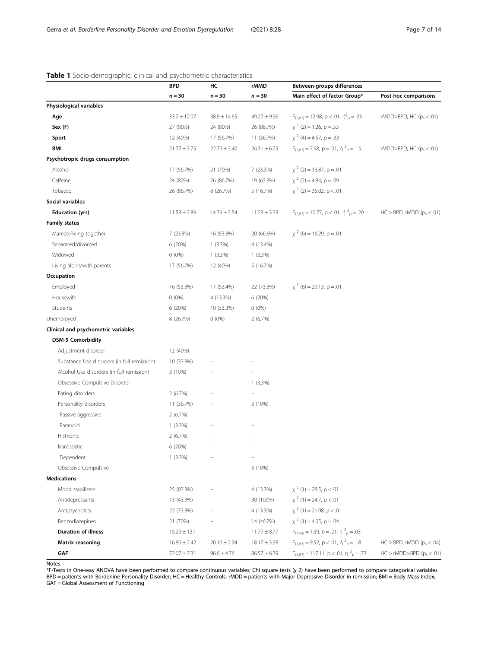#### <span id="page-6-0"></span>Table 1 Socio-demographic, clinical and psychometric characteristics

|                                             | <b>BPD</b>        | HC               | rMMD             | Between-groups differences                                   |                                   |  |
|---------------------------------------------|-------------------|------------------|------------------|--------------------------------------------------------------|-----------------------------------|--|
|                                             | $n = 30$          | $n = 30$         | $n = 30$         | Main effect of factor Group*                                 | Post-hoc comparisons              |  |
| Physiological variables                     |                   |                  |                  |                                                              |                                   |  |
| Age                                         | $33.2 \pm 12.07$  | $38.9 \pm 14.65$ | $49.27 \pm 9.96$ | $F_{(2,87)} = 12.98$ , p < .01; $\eta^2$ <sub>p</sub> = .23  | rMDD>BPD, HC ( $p_s$ < .01)       |  |
| Sex (F)                                     | 27 (90%)          | 24 (80%)         | 26 (86.7%)       | $x^2$ (2) = 1.26, $p = .53$                                  |                                   |  |
| Sport                                       | 12 (40%)          | 17 (56.7%)       | 11 (36.7%)       | $\chi^2$ (4) = 4.57, p = .33                                 |                                   |  |
| BMI                                         | $21.77 \pm 3.75$  | $22.70 \pm 3.40$ | $26.31 \pm 6.25$ | $F_{(2.87)} = 7.98$ , p = .01; ή $^2$ <sub>p</sub> = .15     | rMDD>BPD, HC $(p_s < .01)$        |  |
| Psychotropic drugs consumption              |                   |                  |                  |                                                              |                                   |  |
| Alcohol                                     | 17 (56.7%)        | 21 (70%)         | 7 (23.3%)        | $\chi^2$ (2) = 13.87, p = .01                                |                                   |  |
| Caffeine                                    | 24 (80%)          | 26 (86.7%)       | 19 (63.3%)       | $\chi^2$ (2) = 4.84, p = .09                                 |                                   |  |
| Tobacco                                     | 26 (86.7%)        | 8 (26.7%)        | 5(16.7%)         | $\chi^2$ (2) = 35.02, p < .01                                |                                   |  |
| Social variables                            |                   |                  |                  |                                                              |                                   |  |
| <b>Education (yrs)</b>                      | $11.53 \pm 2.89$  | $14.76 \pm 3.54$ | $11.23 \pm 3.35$ | $F_{(2,87)} = 10.77$ , p < .01; ή $^{2}$ <sub>p</sub> = .20  | $HC > BPD$ , rMDD ( $p_c < .01$ ) |  |
| <b>Family status</b>                        |                   |                  |                  |                                                              |                                   |  |
| Married/living together                     | 7 (23.3%)         | 16 (53.3%)       | 20 (66.6%)       | $x^2$ (6) = 16.29, p = .01                                   |                                   |  |
| Separated/divorced                          | 6 (20%)           | $1(3.3\%)$       | 4 (13.4%)        |                                                              |                                   |  |
| Widowed                                     | $0(0\%)$          | $1(3.3\%)$       | $1(3.3\%)$       |                                                              |                                   |  |
| Living alone/with parents                   | 17 (56.7%)        | 12 (40%)         | 5 (16.7%)        |                                                              |                                   |  |
| Occupation                                  |                   |                  |                  |                                                              |                                   |  |
| Employed                                    | 16 (53.3%)        | 17 (53.4%)       | 22 (73.3%)       | $\chi^2$ (6) = 29.13, p = .01                                |                                   |  |
| Housewife                                   | $0(0\%)$          | 4 (13.3%)        | 6(20%)           |                                                              |                                   |  |
| Students                                    | 6 (20%)           | 10 (33.3%)       | $0(0\%)$         |                                                              |                                   |  |
| Unemployed                                  | 8 (26.7%)         | $0(0\%)$         | 2(6.7%)          |                                                              |                                   |  |
| Clinical and psychometric variables         |                   |                  |                  |                                                              |                                   |  |
| <b>DSM-5 Comorbidity</b>                    |                   |                  |                  |                                                              |                                   |  |
| Adjustment disorder                         | 12 (40%)          |                  |                  |                                                              |                                   |  |
| Substance Use disorders (in full remission) | 10 (33.3%)        |                  |                  |                                                              |                                   |  |
| Alcohol Use disorders (in full remission)   | 3 (10%)           |                  |                  |                                                              |                                   |  |
| Obsessive Compulsive Disorder               | $\qquad \qquad -$ |                  | $1(3.3\%)$       |                                                              |                                   |  |
| Eating disorders                            | 2(6.7%)           |                  |                  |                                                              |                                   |  |
| Personality disorders                       | 11 (36.7%)        |                  | 3(10%)           |                                                              |                                   |  |
| Passive-aggressive                          | 2(6.7%)           |                  |                  |                                                              |                                   |  |
| Paranoid                                    | $1(3.3\%)$        |                  |                  |                                                              |                                   |  |
| Histrionic                                  | 2(6.7%)           |                  |                  |                                                              |                                   |  |
| Narcissistic                                | 6 (20%)           |                  |                  |                                                              |                                   |  |
| Dependent                                   | $1(3.3\%)$        |                  |                  |                                                              |                                   |  |
| Obsessive-Compulsive                        |                   |                  | 3(10%)           |                                                              |                                   |  |
| <b>Medications</b>                          |                   |                  |                  |                                                              |                                   |  |
| Mood stabilizers                            | 25 (83.3%)        |                  | 4 (13.3%)        | $\chi^2$ (1) = 28.5, p < .01                                 |                                   |  |
| Antidepressants                             | 13 (43.3%)        |                  | 30 (100%)        | $x^2$ (1) = 24.7, p < .01                                    |                                   |  |
| Antipsychotics                              | 22 (73.3%)        |                  | 4 (13.3%)        | $\chi^2$ (1) = 21.08, p < .01                                |                                   |  |
| Benzodiazepines                             | 21 (70%)          |                  | 14 (46.7%)       | $\chi^2$ (1) = 4.05, p = .04                                 |                                   |  |
| <b>Duration of illness</b>                  | $15.20 \pm 12.1$  |                  | $11.77 \pm 8.77$ | $F_{(1.58)} = 1.59$ , $p = .21$ ; $\eta_{\text{D}}^2 = .03$  |                                   |  |
| <b>Matrix reasoning</b>                     | $16.80 \pm 2.42$  | $20.10 \pm 2.94$ | $18.17 \pm 3.38$ | $F_{(2,87)} = 9.52$ , p < .01; $\eta^2$ <sub>p</sub> = .18   | $HC > BPD$ , rMDD ( $p_s < .04$ ) |  |
| GAF                                         | $72.07 \pm 7.31$  | $96.6 \pm 4.76$  | $86.57 \pm 6.39$ | $F_{(2,87)} = 117.11$ , p < .01; $\eta^2$ <sub>p</sub> = .73 | $HC > rMDD > BPD$ ( $p_s < .01$ ) |  |

Notes

\*F-Tests in One-way ANOVA have been performed to compare continuous variables; Chi square tests (χ 2) have been performed to compare categorical variables. BPD = patients with Borderline Personality Disorder; HC = Healthy Controls; rMDD = patients with Major Depressive Disorder in remission; BMI = Body Mass Index; GAF = Global Assessment of Functioning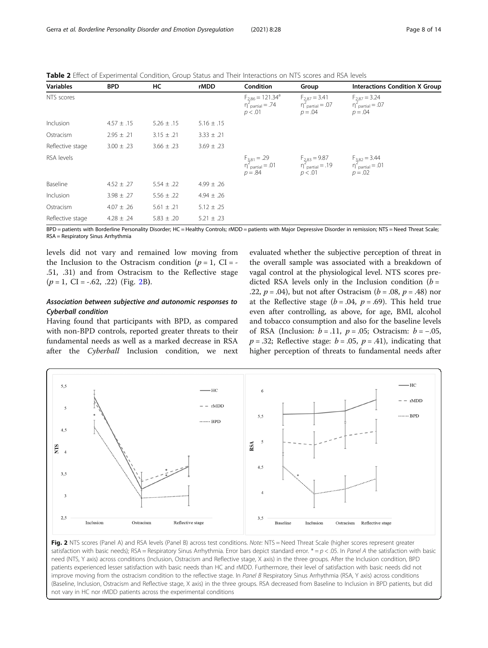| <b>Variables</b> | <b>BPD</b>     | НC             | rMDD           | Condition                                                        | Group                                                                                                                                                                                                                                                                   | <b>Interactions Condition X Group</b>                   |
|------------------|----------------|----------------|----------------|------------------------------------------------------------------|-------------------------------------------------------------------------------------------------------------------------------------------------------------------------------------------------------------------------------------------------------------------------|---------------------------------------------------------|
| NTS scores       |                |                |                | $F_{2,86} = 121.34^a$<br>$n_{\text{partial}}^2 = .74$<br>p < .01 | $F_{2,87} = 3.41$<br>$n_{\text{partial}}^2 = .07$<br>$p = .04$                                                                                                                                                                                                          | $F_{2,87} = 3.24$<br>$n_{partial}^2 = .07$<br>$p = .04$ |
| Inclusion        | $4.57 \pm .15$ | $5.26 \pm .15$ | $5.16 \pm .15$ |                                                                  |                                                                                                                                                                                                                                                                         |                                                         |
| Ostracism        | $2.95 \pm .21$ | $3.15 \pm .21$ | $3.33 \pm .21$ |                                                                  |                                                                                                                                                                                                                                                                         |                                                         |
| Reflective stage | $3.00 \pm .23$ | $3.66 \pm .23$ | $3.69 \pm .23$ |                                                                  |                                                                                                                                                                                                                                                                         |                                                         |
| RSA levels       |                |                |                |                                                                  | $\begin{array}{llll} \mathsf{F}_{3,81} = .29 & \mathsf{F}_{2,83} = 9.87 & \mathsf{F}_{3,82} = 3.44 \\ \mathsf{m}_{\mathsf{partial}}^2 = .01 & \mathsf{m}_{\mathsf{partial}}^2 = .19 & \mathsf{m}_{\mathsf{partial}}^2 = .01 \\ p = .84 & p < .01 & p = .02 \end{array}$ |                                                         |
| Baseline         | $4.52 \pm .27$ | $5.54 \pm .22$ | $4.99 \pm .26$ |                                                                  |                                                                                                                                                                                                                                                                         |                                                         |
| Inclusion        | $3.98 \pm .27$ | $5.56 \pm .22$ | $4.94 \pm .26$ |                                                                  |                                                                                                                                                                                                                                                                         |                                                         |
| Ostracism        | $4.07 \pm .26$ | $5.61 \pm .21$ | $5.12 \pm .25$ |                                                                  |                                                                                                                                                                                                                                                                         |                                                         |
| Reflective stage | $4.28 \pm .24$ | $5.83 \pm .20$ | $5.21 \pm .23$ |                                                                  |                                                                                                                                                                                                                                                                         |                                                         |

<span id="page-7-0"></span>Table 2 Effect of Experimental Condition, Group Status and Their Interactions on NTS scores and RSA levels

BPD = patients with Borderline Personality Disorder; HC = Healthy Controls; rMDD = patients with Major Depressive Disorder in remission; NTS = Need Threat Scale; RSA = Respiratory Sinus Arrhythmia

levels did not vary and remained low moving from the Inclusion to the Ostracism condition ( $p = 1$ , CI = -.51, .31) and from Ostracism to the Reflective stage  $(p = 1, \text{ CI} = -.62, .22)$  (Fig. 2B).

#### Association between subjective and autonomic responses to Cyberball condition

Having found that participants with BPD, as compared with non-BPD controls, reported greater threats to their fundamental needs as well as a marked decrease in RSA after the Cyberball Inclusion condition, we next

evaluated whether the subjective perception of threat in the overall sample was associated with a breakdown of vagal control at the physiological level. NTS scores predicted RSA levels only in the Inclusion condition ( $b =$ .22,  $p = .04$ ), but not after Ostracism ( $b = .08$ ,  $p = .48$ ) nor at the Reflective stage ( $b = .04$ ,  $p = .69$ ). This held true even after controlling, as above, for age, BMI, alcohol and tobacco consumption and also for the baseline levels of RSA (Inclusion:  $b = .11$ ,  $p = .05$ ; Ostracism:  $b = -.05$ ,  $p = .32$ ; Reflective stage:  $b = .05$ ,  $p = .41$ ), indicating that higher perception of threats to fundamental needs after



Fig. 2 NTS scores (Panel A) and RSA levels (Panel B) across test conditions. Note: NTS = Need Threat Scale (higher scores represent greater satisfaction with basic needs); RSA = Respiratory Sinus Arrhythmia. Error bars depict standard error.  $* = p < .05$ . In Panel A the satisfaction with basic need (NTS, Y axis) across conditions (Inclusion, Ostracism and Reflective stage, X axis) in the three groups. After the Inclusion condition, BPD patients experienced lesser satisfaction with basic needs than HC and rMDD. Furthermore, their level of satisfaction with basic needs did not improve moving from the ostracism condition to the reflective stage. In Panel B Respiratory Sinus Arrhythmia (RSA, Y axis) across conditions (Baseline, Inclusion, Ostracism and Reflective stage, X axis) in the three groups. RSA decreased from Baseline to Inclusion in BPD patients, but did not vary in HC nor rMDD patients across the experimental conditions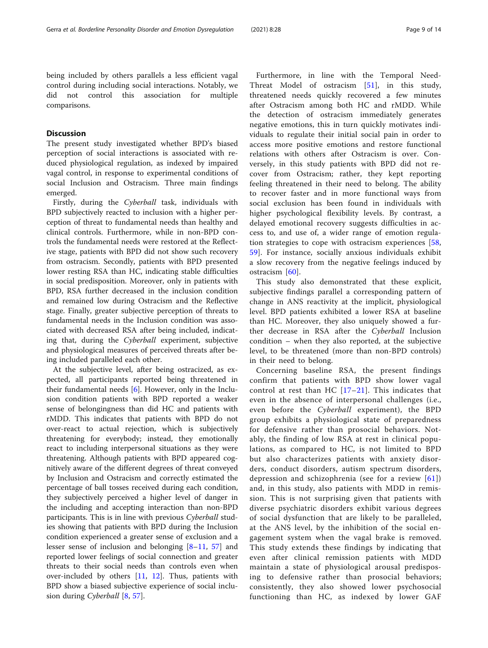being included by others parallels a less efficient vagal control during including social interactions. Notably, we did not control this association for multiple comparisons.

#### **Discussion**

The present study investigated whether BPD's biased perception of social interactions is associated with reduced physiological regulation, as indexed by impaired vagal control, in response to experimental conditions of social Inclusion and Ostracism. Three main findings emerged.

Firstly, during the Cyberball task, individuals with BPD subjectively reacted to inclusion with a higher perception of threat to fundamental needs than healthy and clinical controls. Furthermore, while in non-BPD controls the fundamental needs were restored at the Reflective stage, patients with BPD did not show such recovery from ostracism. Secondly, patients with BPD presented lower resting RSA than HC, indicating stable difficulties in social predisposition. Moreover, only in patients with BPD, RSA further decreased in the inclusion condition and remained low during Ostracism and the Reflective stage. Finally, greater subjective perception of threats to fundamental needs in the Inclusion condition was associated with decreased RSA after being included, indicating that, during the Cyberball experiment, subjective and physiological measures of perceived threats after being included paralleled each other.

At the subjective level, after being ostracized, as expected, all participants reported being threatened in their fundamental needs [[6\]](#page-11-0). However, only in the Inclusion condition patients with BPD reported a weaker sense of belongingness than did HC and patients with rMDD. This indicates that patients with BPD do not over-react to actual rejection, which is subjectively threatening for everybody; instead, they emotionally react to including interpersonal situations as they were threatening. Although patients with BPD appeared cognitively aware of the different degrees of threat conveyed by Inclusion and Ostracism and correctly estimated the percentage of ball tosses received during each condition, they subjectively perceived a higher level of danger in the including and accepting interaction than non-BPD participants. This is in line with previous Cyberball studies showing that patients with BPD during the Inclusion condition experienced a greater sense of exclusion and a lesser sense of inclusion and belonging [[8](#page-11-0)–[11,](#page-11-0) [57\]](#page-12-0) and reported lower feelings of social connection and greater threats to their social needs than controls even when over-included by others [[11,](#page-11-0) [12](#page-11-0)]. Thus, patients with BPD show a biased subjective experience of social inclu-sion during Cyberball [[8,](#page-11-0) [57\]](#page-12-0).

Furthermore, in line with the Temporal Need-Threat Model of ostracism [[51\]](#page-12-0), in this study, threatened needs quickly recovered a few minutes after Ostracism among both HC and rMDD. While the detection of ostracism immediately generates negative emotions, this in turn quickly motivates individuals to regulate their initial social pain in order to access more positive emotions and restore functional relations with others after Ostracism is over. Conversely, in this study patients with BPD did not recover from Ostracism; rather, they kept reporting feeling threatened in their need to belong. The ability to recover faster and in more functional ways from social exclusion has been found in individuals with higher psychological flexibility levels. By contrast, a delayed emotional recovery suggests difficulties in access to, and use of, a wider range of emotion regulation strategies to cope with ostracism experiences [\[58](#page-12-0), [59\]](#page-12-0). For instance, socially anxious individuals exhibit a slow recovery from the negative feelings induced by ostracism [[60\]](#page-12-0).

This study also demonstrated that these explicit, subjective findings parallel a corresponding pattern of change in ANS reactivity at the implicit, physiological level. BPD patients exhibited a lower RSA at baseline than HC. Moreover, they also uniquely showed a further decrease in RSA after the Cyberball Inclusion condition – when they also reported, at the subjective level, to be threatened (more than non-BPD controls) in their need to belong.

Concerning baseline RSA, the present findings confirm that patients with BPD show lower vagal control at rest than HC  $[17-21]$  $[17-21]$  $[17-21]$  $[17-21]$ . This indicates that even in the absence of interpersonal challenges (i.e., even before the Cyberball experiment), the BPD group exhibits a physiological state of preparedness for defensive rather than prosocial behaviors. Notably, the finding of low RSA at rest in clinical populations, as compared to HC, is not limited to BPD but also characterizes patients with anxiety disorders, conduct disorders, autism spectrum disorders, depression and schizophrenia (see for a review [[61](#page-12-0)]) and, in this study, also patients with MDD in remission. This is not surprising given that patients with diverse psychiatric disorders exhibit various degrees of social dysfunction that are likely to be paralleled, at the ANS level, by the inhibition of the social engagement system when the vagal brake is removed. This study extends these findings by indicating that even after clinical remission patients with MDD maintain a state of physiological arousal predisposing to defensive rather than prosocial behaviors; consistently, they also showed lower psychosocial functioning than HC, as indexed by lower GAF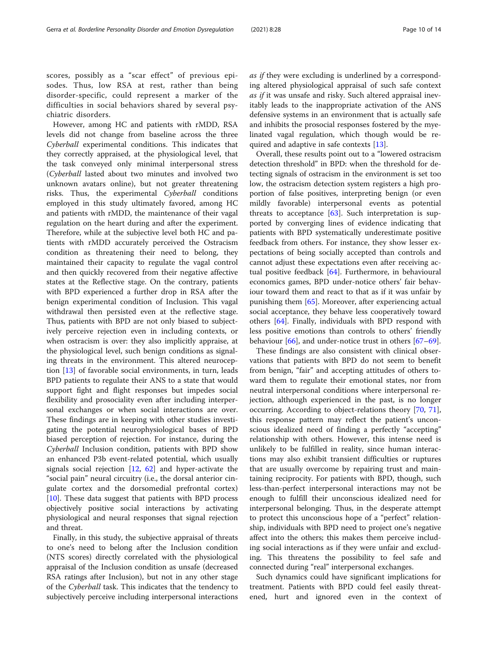scores, possibly as a "scar effect" of previous episodes. Thus, low RSA at rest, rather than being disorder-specific, could represent a marker of the difficulties in social behaviors shared by several psychiatric disorders.

However, among HC and patients with rMDD, RSA levels did not change from baseline across the three Cyberball experimental conditions. This indicates that they correctly appraised, at the physiological level, that the task conveyed only minimal interpersonal stress (Cyberball lasted about two minutes and involved two unknown avatars online), but not greater threatening risks. Thus, the experimental Cyberball conditions employed in this study ultimately favored, among HC and patients with rMDD, the maintenance of their vagal regulation on the heart during and after the experiment. Therefore, while at the subjective level both HC and patients with rMDD accurately perceived the Ostracism condition as threatening their need to belong, they maintained their capacity to regulate the vagal control and then quickly recovered from their negative affective states at the Reflective stage. On the contrary, patients with BPD experienced a further drop in RSA after the benign experimental condition of Inclusion. This vagal withdrawal then persisted even at the reflective stage. Thus, patients with BPD are not only biased to subjectively perceive rejection even in including contexts, or when ostracism is over: they also implicitly appraise, at the physiological level, such benign conditions as signaling threats in the environment. This altered neuroception [[13](#page-11-0)] of favorable social environments, in turn, leads BPD patients to regulate their ANS to a state that would support fight and flight responses but impedes social flexibility and prosociality even after including interpersonal exchanges or when social interactions are over. These findings are in keeping with other studies investigating the potential neurophysiological bases of BPD biased perception of rejection. For instance, during the Cyberball Inclusion condition, patients with BPD show an enhanced P3b event-related potential, which usually signals social rejection [\[12](#page-11-0), [62](#page-12-0)] and hyper-activate the "social pain" neural circuitry (i.e., the dorsal anterior cingulate cortex and the dorsomedial prefrontal cortex) [[10\]](#page-11-0). These data suggest that patients with BPD process objectively positive social interactions by activating physiological and neural responses that signal rejection and threat.

Finally, in this study, the subjective appraisal of threats to one's need to belong after the Inclusion condition (NTS scores) directly correlated with the physiological appraisal of the Inclusion condition as unsafe (decreased RSA ratings after Inclusion), but not in any other stage of the Cyberball task. This indicates that the tendency to subjectively perceive including interpersonal interactions as if they were excluding is underlined by a corresponding altered physiological appraisal of such safe context as if it was unsafe and risky. Such altered appraisal inevitably leads to the inappropriate activation of the ANS defensive systems in an environment that is actually safe and inhibits the prosocial responses fostered by the myelinated vagal regulation, which though would be required and adaptive in safe contexts [\[13](#page-11-0)].

Overall, these results point out to a "lowered ostracism detection threshold" in BPD: when the threshold for detecting signals of ostracism in the environment is set too low, the ostracism detection system registers a high proportion of false positives, interpreting benign (or even mildly favorable) interpersonal events as potential threats to acceptance  $[63]$  $[63]$ . Such interpretation is supported by converging lines of evidence indicating that patients with BPD systematically underestimate positive feedback from others. For instance, they show lesser expectations of being socially accepted than controls and cannot adjust these expectations even after receiving actual positive feedback [\[64\]](#page-12-0). Furthermore, in behavioural economics games, BPD under-notice others' fair behaviour toward them and react to that as if it was unfair by punishing them [\[65\]](#page-12-0). Moreover, after experiencing actual social acceptance, they behave less cooperatively toward others [[64](#page-12-0)]. Finally, individuals with BPD respond with less positive emotions than controls to others' friendly behaviour [\[66](#page-12-0)], and under-notice trust in others [\[67](#page-12-0)–[69\]](#page-13-0).

These findings are also consistent with clinical observations that patients with BPD do not seem to benefit from benign, "fair" and accepting attitudes of others toward them to regulate their emotional states, nor from neutral interpersonal conditions where interpersonal rejection, although experienced in the past, is no longer occurring. According to object-relations theory [[70,](#page-13-0) [71](#page-13-0)], this response pattern may reflect the patient's unconscious idealized need of finding a perfectly "accepting" relationship with others. However, this intense need is unlikely to be fulfilled in reality, since human interactions may also exhibit transient difficulties or ruptures that are usually overcome by repairing trust and maintaining reciprocity. For patients with BPD, though, such less-than-perfect interpersonal interactions may not be enough to fulfill their unconscious idealized need for interpersonal belonging. Thus, in the desperate attempt to protect this unconscious hope of a "perfect" relationship, individuals with BPD need to project one's negative affect into the others; this makes them perceive including social interactions as if they were unfair and excluding. This threatens the possibility to feel safe and connected during "real" interpersonal exchanges.

Such dynamics could have significant implications for treatment. Patients with BPD could feel easily threatened, hurt and ignored even in the context of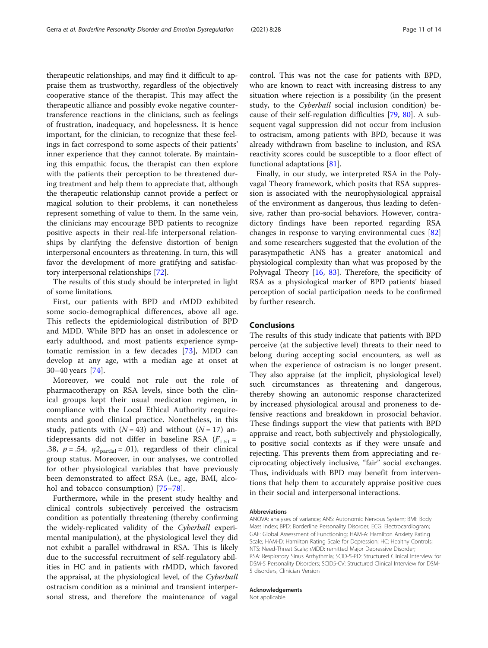therapeutic relationships, and may find it difficult to appraise them as trustworthy, regardless of the objectively cooperative stance of the therapist. This may affect the therapeutic alliance and possibly evoke negative countertransference reactions in the clinicians, such as feelings of frustration, inadequacy, and hopelessness. It is hence important, for the clinician, to recognize that these feelings in fact correspond to some aspects of their patients' inner experience that they cannot tolerate. By maintaining this empathic focus, the therapist can then explore with the patients their perception to be threatened during treatment and help them to appreciate that, although the therapeutic relationship cannot provide a perfect or magical solution to their problems, it can nonetheless represent something of value to them. In the same vein, the clinicians may encourage BPD patients to recognize positive aspects in their real-life interpersonal relationships by clarifying the defensive distortion of benign interpersonal encounters as threatening. In turn, this will favor the development of more gratifying and satisfactory interpersonal relationships [[72\]](#page-13-0).

The results of this study should be interpreted in light of some limitations.

First, our patients with BPD and rMDD exhibited some socio-demographical differences, above all age. This reflects the epidemiological distribution of BPD and MDD. While BPD has an onset in adolescence or early adulthood, and most patients experience symptomatic remission in a few decades [[73\]](#page-13-0), MDD can develop at any age, with a median age at onset at 30–40 years [[74\]](#page-13-0).

Moreover, we could not rule out the role of pharmacotherapy on RSA levels, since both the clinical groups kept their usual medication regimen, in compliance with the Local Ethical Authority requirements and good clinical practice. Nonetheless, in this study, patients with  $(N = 43)$  and without  $(N = 17)$  antidepressants did not differ in baseline RSA  $(F_{1.51} =$ .38,  $p = .54$ ,  $\eta_2$ <sub>partial</sub> = .01), regardless of their clinical group status. Moreover, in our analyses, we controlled for other physiological variables that have previously been demonstrated to affect RSA (i.e., age, BMI, alcohol and tobacco consumption) [\[75](#page-13-0)–[78](#page-13-0)].

Furthermore, while in the present study healthy and clinical controls subjectively perceived the ostracism condition as potentially threatening (thereby confirming the widely-replicated validity of the Cyberball experimental manipulation), at the physiological level they did not exhibit a parallel withdrawal in RSA. This is likely due to the successful recruitment of self-regulatory abilities in HC and in patients with rMDD, which favored the appraisal, at the physiological level, of the Cyberball ostracism condition as a minimal and transient interpersonal stress, and therefore the maintenance of vagal

control. This was not the case for patients with BPD, who are known to react with increasing distress to any situation where rejection is a possibility (in the present study, to the Cyberball social inclusion condition) because of their self-regulation difficulties [[79,](#page-13-0) [80](#page-13-0)]. A subsequent vagal suppression did not occur from inclusion to ostracism, among patients with BPD, because it was already withdrawn from baseline to inclusion, and RSA reactivity scores could be susceptible to a floor effect of functional adaptations [[81\]](#page-13-0).

Finally, in our study, we interpreted RSA in the Polyvagal Theory framework, which posits that RSA suppression is associated with the neurophysiological appraisal of the environment as dangerous, thus leading to defensive, rather than pro-social behaviors. However, contradictory findings have been reported regarding RSA changes in response to varying environmental cues [[82](#page-13-0)] and some researchers suggested that the evolution of the parasympathetic ANS has a greater anatomical and physiological complexity than what was proposed by the Polyvagal Theory [[16,](#page-11-0) [83](#page-13-0)]. Therefore, the specificity of RSA as a physiological marker of BPD patients' biased perception of social participation needs to be confirmed by further research.

#### Conclusions

The results of this study indicate that patients with BPD perceive (at the subjective level) threats to their need to belong during accepting social encounters, as well as when the experience of ostracism is no longer present. They also appraise (at the implicit, physiological level) such circumstances as threatening and dangerous, thereby showing an autonomic response characterized by increased physiological arousal and proneness to defensive reactions and breakdown in prosocial behavior. These findings support the view that patients with BPD appraise and react, both subjectively and physiologically, to positive social contexts as if they were unsafe and rejecting. This prevents them from appreciating and reciprocating objectively inclusive, "fair" social exchanges. Thus, individuals with BPD may benefit from interventions that help them to accurately appraise positive cues in their social and interpersonal interactions.

#### Abbreviations

ANOVA: analyses of variance; ANS: Autonomic Nervous System; BMI: Body Mass Index; BPD: Borderline Personality Disorder; ECG: Electrocardiogram; GAF: Global Assessment of Functioning; HAM-A: Hamilton Anxiety Rating Scale; HAM-D: Hamilton Rating Scale for Depression; HC: Healthy Controls; NTS: Need-Threat Scale; rMDD: remitted Major Depressive Disorder; RSA: Respiratory Sinus Arrhythmia; SCID-5-PD: Structured Clinical Interview for DSM-5 Personality Disorders; SCID5-CV: Structured Clinical Interview for DSM-5 disorders, Clinician Version

#### Acknowledgements

Not applicable.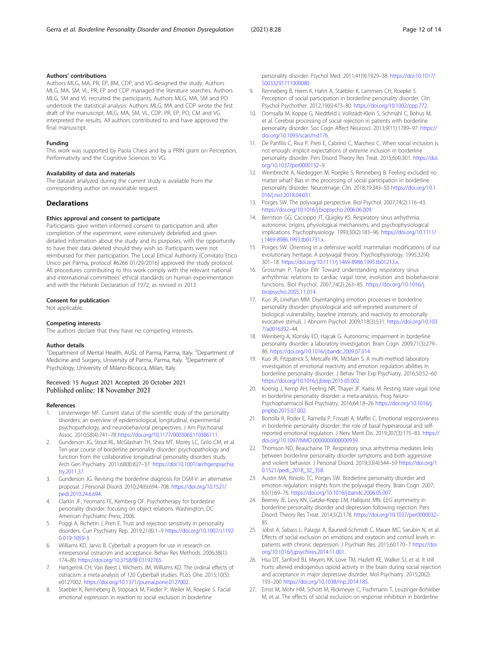#### <span id="page-11-0"></span>Authors' contributions

Authors MLG, MA, PR, EP, BM, CDP, and VG designed the study. Authors MLG, MA, SM, VL, PR; EP and CDP managed the literature searches. Authors MLG, SM and VL recruited the participants. Authors MLG, MA, SM and PO undertook the statistical analysis. Authors MLG, MA and CDP wrote the first draft of the manuscript. MLG, MA, SM, VL, CDP, PR, EP, PO, CM and VG interpreted the results. All authors contributed to and have approved the final manuscript.

#### Funding

This work was supported by Paola Chiesi and by a PRIN grant on Perception, Performativity and the Cognitive Sciences to VG.

#### Availability of data and materials

The dataset analyzed during the current study is available from the corresponding author on reasonable request.

#### **Declarations**

#### Ethics approval and consent to participate

Participants gave written informed consent to participation and, after completion of the experiment, were extensively debriefed and given detailed information about the study and its purposes, with the opportunity to have their data deleted should they wish so. Participants were not reimbursed for their participation. The Local Ethical Authority (Comitato Etico Unico per Parma, protocol #6266 01/29/2016) approved the study protocol. All procedures contributing to this work comply with the relevant national and international committees' ethical standards on human experimentation and with the Helsinki Declaration of 1972, as revised in 2013.

#### Consent for publication

Not applicable.

#### Competing interests

The authors declare that they have no competing interests.

#### Author details

<sup>1</sup>Department of Mental Health, AUSL of Parma, Parma, Italy. <sup>2</sup>Department of Medicine and Surgery, University of Parma, Parma, Italy. <sup>3</sup>Department of Psychology, University of Milano-Bicocca, Milan, Italy.

#### Received: 15 August 2021 Accepted: 20 October 2021 Published online: 18 November 2021

#### References

- 1. Lenzenweger MF. Current status of the scientific study of the personality disorders: an overview of epidemiological, longitudinal, experimental psychopathology, and neurobehavioral perspectives. J Am Psychoanal Assoc. 2010;58(4):741–78 [https://doi.org/10.1177/0003065110386111.](https://doi.org/10.1177/0003065110386111)
- 2. Gunderson JG, Stout RL, McGlashan TH, Shea MT, Morey LC, Grilo CM, et al. Ten-year course of borderline personality disorder: psychopathology and function from the collaborative longitudinal personality disorders study. Arch Gen Psychiatry. 2011;68(8):827–37. [https://doi:10.1001/archgenpsychia](http://dx.doi.org/10.1001/archgenpsychiatry.2011.37) [try.2011.37.](http://dx.doi.org/10.1001/archgenpsychiatry.2011.37)
- 3. Gunderson JG. Revising the borderline diagnosis for DSM-V: an alternative proposal. J Personal Disord. 2010;24(6):694–708. [https://doi.org/10.1521/](https://doi.org/10.1521/pedi.2010.24.6.694) [pedi.2010.24.6.694](https://doi.org/10.1521/pedi.2010.24.6.694).
- 4. Clarkin JF, Yeomans FE, Kernberg OF. Psychotherapy for borderline personality disorder: focusing on object relations. Washington, DC: American Psychiatric Press; 2006.
- 5. Poggi A, Richetin J, Preti E. Trust and rejection sensitivity in personality disorders. Curr Psychiatry Rep. 2019;21(8):1–9 [https://doi.org/10.1007/s1192](https://doi.org/10.1007/s11920-019-1059-3) [0-019-1059-3.](https://doi.org/10.1007/s11920-019-1059-3)
- 6. Williams KD, Jarvis B. Cyberball: a program for use in research on interpersonal ostracism and acceptance. Behav Res Methods. 2006;38(1): 174–80. <https://doi.org/10.3758/BF03192765>.
- 7. Hartgerink CH, Van Beest I, Wicherts JM, Williams KD. The ordinal effects of ostracism: a meta-analysis of 120 Cyberball studies. PLoS One. 2015;10(5): e0127002. <https://doi.org/10.1371/journal.pone.0127002>.
- 8. Staebler K, Renneberg B, Stopsack M, Fiedler P, Weiler M, Roepke S. Facial emotional expression in reaction to social exclusion in borderline

personality disorder. Psychol Med. 2011;41(9):1929–38. [https://doi:10.1017/](http://dx.doi.org/10.1017/S0033291711000080) [S0033291711000080.](http://dx.doi.org/10.1017/S0033291711000080)

- 9. Renneberg B, Herm K, Hahn A, Staebler K, Lammers CH, Roepke S. Perception of social participation in borderline personality disorder. Clin Psychol Psychother. 2012;19(6):473–80. <https://doi.org/10.1002/cpp.772>.
- 10. Domsalla M, Koppe G, Niedtfeld I, Vollstädt-Klein S, Schmahl C, Bohus M, et al. Cerebral processing of social rejection in patients with borderline personality disorder. Soc Cogn Affect Neurosci. 2013;9(11):1789–97. [https://](https://doi.org/10.1093/scan/nst176) [doi.org/10.1093/scan/nst176](https://doi.org/10.1093/scan/nst176).
- 11. De Panfilis C, Riva P, Preti E, Cabrino C, Marchesi C. When social inclusion is not enough: implicit expectations of extreme inclusion in borderline personality disorder. Pers Disord Theory Res Treat. 2015;6(4):301. [https://doi.](https://doi.org/10.1037/per0000132) [org/10.1037/per0000132](https://doi.org/10.1037/per0000132)–9.
- 12. Weinbrecht A, Niedeggen M, Roepke S, Renneberg B. Feeling excluded no matter what? Bias in the processing of social participation in borderline personality disorder. NeuroImage: Clin. 2018;19:343-50 [https://doi.org/10.1](https://doi.org/10.1016/j.nicl.2018.04.031) [016/j.nicl.2018.04.031](https://doi.org/10.1016/j.nicl.2018.04.031).
- 13. Porges SW. The polyvagal perspective. Biol Psychol. 2007;74(2):116–43. <https://doi.org/10.1016/j.biopsycho.2006.06.009>.
- 14. Berntson GG, Cacioppo JT, Quigley KS. Respiratory sinus arrhythmia: autonomic origins, physiological mechanisms, and psychophysiological implications. Psychophysiology. 1993;30(2):183–96. [https://doi.org/10.1111/](https://doi.org/10.1111/j.1469-8986.1993.tb01731.x) [j.1469-8986.1993.tb01731.x](https://doi.org/10.1111/j.1469-8986.1993.tb01731.x).
- 15. Porges SW. Orienting in a defensive world: mammalian modifications of our evolutionary heritage. A polyvagal theory. Psychophysiology. 1995;32(4): 301–18. <https://doi.org/10.1111/j.1469-8986.1995.tb01213.x>.
- 16. Grossman P, Taylor EW. Toward understanding respiratory sinus arrhythmia: relations to cardiac vagal tone, evolution and biobehavioral functions. Biol Psychol. 2007;74(2):263–85. [https://doi.org/10.1016/j.](https://doi.org/10.1016/j.biopsycho.2005.11.014) [biopsycho.2005.11.014](https://doi.org/10.1016/j.biopsycho.2005.11.014).
- 17. Kuo JR, Linehan MM. Disentangling emotion processes in borderline personality disorder: physiological and self-reported assessment of biological vulnerability, baseline intensity, and reactivity to emotionally evocative stimuli. J Abnorm Psychol. 2009;118(3):531. [https://doi.org/10.103](https://doi.org/10.1037/a0016392) [7/a0016392](https://doi.org/10.1037/a0016392)–44.
- 18. Weinberg A, Klonsky ED, Hajcak G. Autonomic impairment in borderline personality disorder: a laboratory investigation. Brain Cogn. 2009;71(3):279– 86. [https://doi.org/10.1016/j.bandc.2009.07.014.](https://doi.org/10.1016/j.bandc.2009.07.014)
- 19. Kuo JR, Fitzpatrick S, Metcalfe RK, McMain S. A multi-method laboratory investigation of emotional reactivity and emotion regulation abilities in borderline personality disorder. J Behav Ther Exp Psychiatry. 2016;50:52–60 [https://doi.org/10.1016/j.jbtep.2015.05.002.](https://doi.org/10.1016/j.jbtep.2015.05.002)
- 20. Koenig J, Kemp AH, Feeling NR, Thayer JF, Kaess M. Resting state vagal tone in borderline personality disorder: a meta-analysis. Prog Neuro-Psychopharmacol Biol Psychiatry. 2016;64:18–26 [https://doi.org/10.1016/j.](https://doi.org/10.1016/j.pnpbp.2015.07.002) [pnpbp.2015.07.002](https://doi.org/10.1016/j.pnpbp.2015.07.002).
- 21. Bortolla R, Roder E, Ramella P, Fossati A, Maffei C. Emotional responsiveness in borderline personality disorder: the role of basal hyperarousal and selfreported emotional regulation. J Nerv Ment Dis. 2019;207(3):175–83. [https://](https://doi.org/10.1097/NMD.0000000000000939) [doi.org/10.1097/NMD.0000000000000939.](https://doi.org/10.1097/NMD.0000000000000939)
- 22. Thomson ND, Beauchaine TP. Respiratory sinus arrhythmia mediates links between borderline personality disorder symptoms and both aggressive and violent behavior. J Personal Disord. 2019;33(4):544–59 [https://doi.org/1](https://doi.org/10.1521/pedi_2018_32_358) [0.1521/pedi\\_2018\\_32\\_358](https://doi.org/10.1521/pedi_2018_32_358).
- 23. Austin MA, Riniolo TC, Porges SW. Borderline personality disorder and emotion regulation: insights from the polyvagal theory. Brain Cogn. 2007; 65(1):69–76. <https://doi.org/10.1016/j.bandc.2006.05.007>.
- 24. Beeney JE, Levy KN, Gatzke-Kopp LM, Hallquist MN. EEG asymmetry in borderline personality disorder and depression following rejection. Pers Disord: Theory Res Treat. 2014;5(2):178. <https://doi.org/10.1037/per0000032>– 85.
- 25. Jobst A, Sabass L, Palagyi A, Bauriedl-Schmidt C, Mauer MC, Sarubin N, et al. Effects of social exclusion on emotions and oxytocin and cortisol levels in patients with chronic depression. J Psychiatr Res. 2015;60:170–7 [https://doi.](https://doi.org/10.1016/j.jpsychires.2014.11.001) [org/10.1016/j.jpsychires.2014.11.001](https://doi.org/10.1016/j.jpsychires.2014.11.001).
- 26. Hsu DT, Sanford BJ, Meyers KK, Love TM, Hazlett KE, Walker SJ, et al. It still hurts: altered endogenous opioid activity in the brain during social rejection and acceptance in major depressive disorder. Mol Psychiatry. 2015;20(2): 193–200 <https://doi.org/10.1038/mp.2014.185>.
- 27. Ernst M, Mohr HM, Schött M, Rickmeyer C, Fischmann T, Leuzinger-Bohleber M, et al. The effects of social exclusion on response inhibition in borderline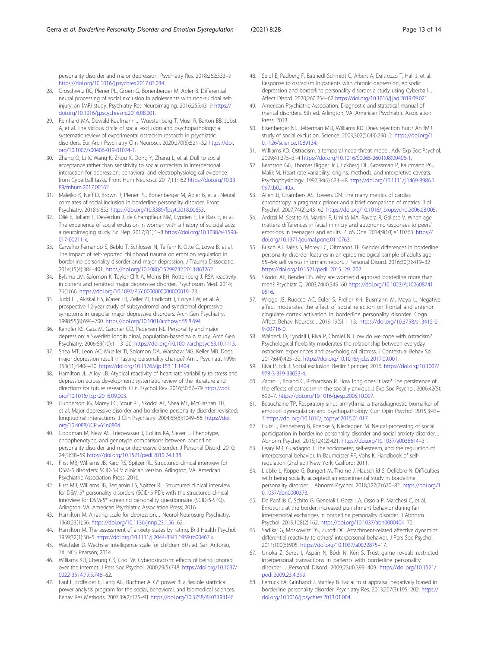<span id="page-12-0"></span>personality disorder and major depression. Psychiatry Res. 2018;262:333–9 <https://doi.org/10.1016/j.psychres.2017.03.034>.

- 28. Groschwitz RC, Plener PL, Groen G, Bonenberger M, Abler B. Differential neural processing of social exclusion in adolescents with non-suicidal selfinjury: an fMRI study. Psychiatry Res Neuroimaging. 2016;255:43–9 [https://](https://doi.org/10.1016/j.pscychresns.2016.08.001) [doi.org/10.1016/j.pscychresns.2016.08.001](https://doi.org/10.1016/j.pscychresns.2016.08.001).
- 29. Reinhard MA, Dewald-Kaufmann J, Wuestenberg T, Musil R, Barton BB, Jobst A, et al. The vicious circle of social exclusion and psychopathology: a systematic review of experimental ostracism research in psychiatric disorders. Eur Arch Psychiatry Clin Neurosci. 2020;270(5):521–32 [https://doi.](https://doi.org/10.1007/s00406-019-01074-1) [org/10.1007/s00406-019-01074-1.](https://doi.org/10.1007/s00406-019-01074-1)
- 30. Zhang Q, Li X, Wang K, Zhou X, Dong Y, Zhang L, et al. Dull to social acceptance rather than sensitivity to social ostracism in interpersonal interaction for depression: behavioral and electrophysiological evidence from Cyberball tasks. Front Hum Neurosci. 2017;11:162 [https://doi.org/10.33](https://doi.org/10.3389/fnhum.2017.00162) [89/fnhum.2017.00162.](https://doi.org/10.3389/fnhum.2017.00162)
- 31. Malejko K, Neff D, Brown R, Plener PL, Bonenberger M, Abler B, et al. Neural correlates of social inclusion in borderline personality disorder. Front Psychiatry. 2018;9:653 [https://doi.org/10.3389/fpsyt.2018.00653.](https://doi.org/10.3389/fpsyt.2018.00653)
- 32. Olié E, Jollant F, Deverdun J, de Champfleur NM, Cyprien F, Le Bars E, et al. The experience of social exclusion in women with a history of suicidal acts: a neuroimaging study. Sci Rep. 2017;7(1):1–8 [https://doi.org/10.1038/s41598-](https://doi.org/10.1038/s41598-017-00211-x) [017-00211-x](https://doi.org/10.1038/s41598-017-00211-x).
- 33. Carvalho Fernando S, Beblo T, Schlosser N, Terfehr K, Otte C, Löwe B, et al. The impact of self-reported childhood trauma on emotion regulation in borderline personality disorder and major depression. J Trauma Dissociatio. 2014;15(4):384–401. <https://doi.org/10.1080/15299732.2013.863262>.
- 34. Bylsma LM, Salomon K, Taylor-Clift A, Morris BH, Rottenberg J. RSA reactivity in current and remitted major depressive disorder. Psychosom Med. 2014; 76(1):66. <https://doi.org/10.1097/PSY.0000000000000019>–73.
- 35. Judd LL, Akiskal HS, Maser JD, Zeller PJ, Endicott J, Coryell W, et al. A prospective 12-year study of subsyndromal and syndromal depressive symptoms in unipolar major depressive disorders. Arch Gen Psychiatry. 1998;55(8):694–700. <https://doi.org/10.1001/archpsyc.55.8.694>.
- 36. Kendler KS, Gatz M, Gardner CO, Pedersen NL. Personality and major depression: a Swedish longitudinal, population-based twin study. Arch Gen Psychiatry. 2006;63(10):1113–20. [https://doi.org/10.1001/archpsyc.63.10.1113.](https://doi.org/10.1001/archpsyc.63.10.1113)
- 37. Shea MT, Leon AC, Mueller TI, Solomon DA, Warshaw MG, Keller MB. Does major depression result in lasting personality change? Am J Psychiatr. 1996; 153(11):1404–10. <https://doi.org/10.1176/ajp.153.11.1404>.
- 38. Hamilton JL, Alloy LB. Atypical reactivity of heart rate variability to stress and depression across development: systematic review of the literature and directions for future research. Clin Psychol Rev. 2016;50:67–79 [https://doi.](https://doi.org/10.1016/j.cpr.2016.09.003) [org/10.1016/j.cpr.2016.09.003.](https://doi.org/10.1016/j.cpr.2016.09.003)
- 39. Gunderson JG, Morey LC, Stout RL, Skodol AE, Shea MT, McGlashan TH, et al. Major depressive disorder and borderline personality disorder revisited: longitudinal interactions. J Clin Psychiatry. 2004;65(8):1049–56. [https://doi.](https://doi.org/10.4088/JCP.v65n0804) [org/10.4088/JCP.v65n0804.](https://doi.org/10.4088/JCP.v65n0804)
- 40. Goodman M, New AS, Triebwasser J, Collins KA, Siever L. Phenotype, endophenotype, and genotype comparisons between borderline personality disorder and major depressive disorder. J Personal Disord. 2010; 24(1):38–59 <https://doi.org/10.1521/pedi.2010.24.1.38>.
- 41. First MB, Williams JB, Karg RS, Spitzer RL. Structured clinical interview for DSM-5 disorders: SCID-5-CV clinician version. Arlington, VA: American Psychiatric Association Press; 2016.
- 42. First MB, Williams JB, Benjamin LS, Spitzer RL. Structured clinical interview for DSM-5® personality disorders (SCID-5-PD): with the structured clinical interview for DSM-5® screening personality questionnaire (SCID-5-SPQ). Arlington, VA: American Psychiatric Association Press; 2016.
- 43. Hamilton M. A rating scale for depression. J Neurol Neurosurg Psychiatry. 1960;23(1):56. <https://doi.org/10.1136/jnnp.23.1.56>–62.
- 44. Hamilton M. The assessment of anxiety states by rating. Br J Health Psychol. 1959;32(1):50–5 <https://doi.org/10.1111/j.2044-8341.1959.tb00467.x>.
- 45. Wechsler D. Wechsler intelligence scale for children. 5th ed. San Antonio, TX: NCS Pearson; 2014.
- 46. Williams KD, Cheung CK, Choi W. Cyberostracism: effects of being ignored over the internet. J Pers Soc Psychol. 2000;79(5):748. [https://doi.org/10.1037/](https://doi.org/10.1037/0022-3514.79.5.748) [0022-3514.79.5.748](https://doi.org/10.1037/0022-3514.79.5.748)–62.
- 47. Faul F, Erdfelder E, Lang AG, Buchner A. G\* power 3: a flexible statistical power analysis program for the social, behavioral, and biomedical sciences. Behav Res Methods. 2007;39(2):175–91 <https://doi.org/10.3758/BF03193146>.
- 48. Seidl E, Padberg F, Bauriedl-Schmidt C, Albert A, Daltrozzo T, Hall J, et al. Response to ostracism in patients with chronic depression, episodic depression and borderline personality disorder a study using Cyberball. J Affect Disord. 2020;260:254–62 [https://doi.org/10.1016/j.jad.2019.09.021.](https://doi.org/10.1016/j.jad.2019.09.021)
- 49. American Psychiatric Association. Diagnostic and statistical manual of mental disorders. 5th ed. Arlington, VA: American Psychiatric Association Press; 2013.
- 50. Eisenberger NI, Lieberman MD, Williams KD. Does rejection hurt? An fMRI study of social exclusion. Science. 2003;302(5643):290–2. [https://doi.org/1](https://doi.org/10.1126/science.1089134) [0.1126/science.1089134](https://doi.org/10.1126/science.1089134).
- 51. Williams KD. Ostracism: a temporal need-threat model. Adv Exp Soc Psychol. 2009;41:275–314 [https://doi.org/10.1016/S0065-2601\(08\)00406-1.](https://doi.org/10.1016/S0065-2601(08)00406-1)
- 52. Berntson GG, Thomas Bigger Jr J, Eckberg DL, Grossman P, Kaufmann PG, Malik M. Heart rate variability: origins, methods, and interpretive caveats. Psychophysiology. 1997;34(6):623–48 [https://doi.org/10.1111/j.1469-8986.1](https://doi.org/10.1111/j.1469-8986.1997.tb02140.x) [997.tb02140.x](https://doi.org/10.1111/j.1469-8986.1997.tb02140.x).
- 53. Allen JJ, Chambers AS, Towers DN. The many metrics of cardiac chronotropy: a pragmatic primer and a brief comparison of metrics. Biol Psychol. 2007;74(2):243–62. [https://doi.org/10.1016/j.biopsycho.2006.08.005.](https://doi.org/10.1016/j.biopsycho.2006.08.005)
- 54. Ardizzi M, Sestito M, Martini F, Umiltà MA, Ravera R, Gallese V. When age matters: differences in facial mimicry and autonomic responses to peers' emotions in teenagers and adults. PLoS One. 2014;9(10):e110763. [https://](https://doi.org/10.1371/journal.pone.0110763) [doi.org/10.1371/journal.pone.0110763.](https://doi.org/10.1371/journal.pone.0110763)
- 55. Busch AJ, Balsis S, Morey LC, Oltmanns TF. Gender differences in borderline personality disorder features in an epidemiological sample of adults age 55–64: self versus informant report. J Personal Disord. 2016;30(3):419–32 [https://doi.org/10.1521/pedi\\_2015\\_29\\_202.](https://doi.org/10.1521/pedi_2015_29_202)
- 56. Skodol AE, Bender DS. Why are women diagnosed borderline more than men? Psychiatr Q. 2003;74(4):349–60 [https://doi.org/10.1023/A:102608741](https://doi.org/10.1023/A:1026087410516) [0516](https://doi.org/10.1023/A:1026087410516).
- 57. Wrege JS, Ruocco AC, Euler S, Preller KH, Busmann M, Meya L. Negative affect moderates the effect of social rejection on frontal and anterior cingulate cortex activation in borderline personality disorder. Cogn Affect Behav Neurosci. 2019;19(5):1–13. [https://doi.org/10.3758/s13415-01](https://doi.org/10.3758/s13415-019-00716-0) [9-00716-0.](https://doi.org/10.3758/s13415-019-00716-0)
- 58. Waldeck D, Tyndall I, Riva P, Chmiel N. How do we cope with ostracism? Psychological flexibility moderates the relationship between everyday ostracism experiences and psychological distress. J Contextual Behav Sci. 2017;6(4):425–32. <https://doi.org/10.1016/j.jcbs.2017.09.001>.
- 59. Riva P, Eck J. Social exclusion. Berlin: Springer; 2016. [https://doi.org/10.1007/](https://doi.org/10.1007/978-3-319-33033-4) [978-3-319-33033-4](https://doi.org/10.1007/978-3-319-33033-4).
- 60. Zadro L, Boland C, Richardson R. How long does it last? The persistence of the effects of ostracism in the socially anxious. J Exp Soc Psychol. 2006;42(5): 692–7. [https://doi.org/10.1016/j.jesp.2005.10.007.](https://doi.org/10.1016/j.jesp.2005.10.007)
- 61. Beauchaine TP. Respiratory sinus arrhythmia: a transdiagnostic biomarker of emotion dysregulation and psychopathology. Curr Opin Psychol. 2015;3:43– 7 <https://doi.org/10.1016/j.copsyc.2015.01.017>.
- 62. Gutz L, Renneberg B, Roepke S, Niedeggen M. Neural processing of social participation in borderline personality disorder and social anxiety disorder. J Abnorm Psychol. 2015;124(2):421. <https://doi.org/10.1037/a0038614>–31.
- 63. Leary MR, Guadagno J. The sociometer, self-esteem, and the regulation of interpersonal behavior. In Baumeister RF, Vohs K. Handbook of selfregulation (2nd ed.) New York: Guilford; 2011.
- 64. Liebke L, Koppe G, Bungert M, Thome J, Hauschild S, Defiebre N. Difficulties with being socially accepted: an experimental study in borderline personality disorder. J Abnorm Psychol. 2018;127(7):670–82. [https://doi.org/1](https://doi.org/10.1037/abn0000373) [0.1037/abn0000373](https://doi.org/10.1037/abn0000373).
- 65. De Panfilis C, Schito G, Generali I, Gozzi LA, Ossola P, Marchesi C, et al. Emotions at the border: increased punishment behavior during fair interpersonal exchanges in borderline personality disorder. J Abnorm Psychol. 2019;128(2):162. <https://doi.org/10.1037/abn0000404>–72.
- 66. Sadikaj G, Moskowitz DS, Zuroff DC. Attachment-related affective dynamics: differential reactivity to others' interpersonal behavior. J Pers Soc Psychol. 2011;100(5):905. <https://doi.org/10.1037/a0022875>–17.
- 67. Unoka Z, Seres I, Áspán N, Bódi N, Kéri S. Trust game reveals restricted interpersonal transactions in patients with borderline personality disorder. J Personal Disord. 2009;23(4):399–409. [https://doi.org/10.1521/](https://doi.org/10.1521/pedi.2009.23.4.399) [pedi.2009.23.4.399.](https://doi.org/10.1521/pedi.2009.23.4.399)
- 68. Fertuck EA, Grinband J, Stanley B. Facial trust appraisal negatively biased in borderline personality disorder. Psychiatry Res. 2013;207(3):195–202. [https://](https://doi.org/10.1016/j.psychres.2013.01.004) [doi.org/10.1016/j.psychres.2013.01.004.](https://doi.org/10.1016/j.psychres.2013.01.004)